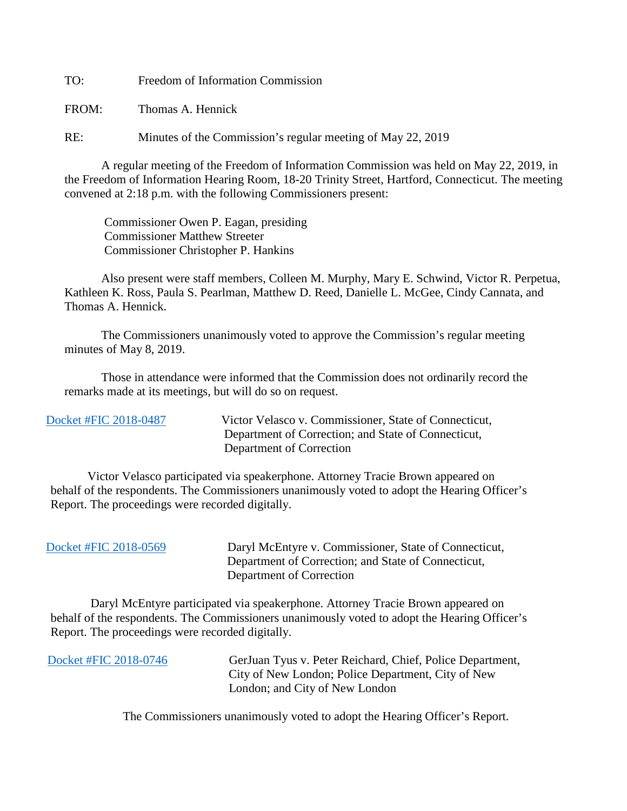TO: Freedom of Information Commission

FROM: Thomas A. Hennick

RE: Minutes of the Commission's regular meeting of May 22, 2019

A regular meeting of the Freedom of Information Commission was held on May 22, 2019, in the Freedom of Information Hearing Room, 18-20 Trinity Street, Hartford, Connecticut. The meeting convened at 2:18 p.m. with the following Commissioners present:

 Commissioner Owen P. Eagan, presiding Commissioner Matthew Streeter Commissioner Christopher P. Hankins

 Also present were staff members, Colleen M. Murphy, Mary E. Schwind, Victor R. Perpetua, Kathleen K. Ross, Paula S. Pearlman, Matthew D. Reed, Danielle L. McGee, Cindy Cannata, and Thomas A. Hennick.

The Commissioners unanimously voted to approve the Commission's regular meeting minutes of May 8, 2019.

 Those in attendance were informed that the Commission does not ordinarily record the remarks made at its meetings, but will do so on request.

 [Docket #FIC 2018-0487](https://www.ct.gov/foi/lib/foi/minutes/2019/may22/2018-0487.pdf) Victor Velasco v. Commissioner, State of Connecticut, Department of Correction; and State of Connecticut, Department of Correction

 Victor Velasco participated via speakerphone. Attorney Tracie Brown appeared on behalf of the respondents. The Commissioners unanimously voted to adopt the Hearing Officer's Report. The proceedings were recorded digitally.

| Docket #FIC 2018-0569 |  |
|-----------------------|--|
|-----------------------|--|

Daryl McEntyre v. Commissioner, State of Connecticut, Department of Correction; and State of Connecticut, Department of Correction

 Daryl McEntyre participated via speakerphone. Attorney Tracie Brown appeared on behalf of the respondents. The Commissioners unanimously voted to adopt the Hearing Officer's Report. The proceedings were recorded digitally.

| Docket #FIC 2018-0746 | GerJuan Tyus v. Peter Reichard, Chief, Police Department, |
|-----------------------|-----------------------------------------------------------|
|                       | City of New London; Police Department, City of New        |
|                       | London; and City of New London                            |

The Commissioners unanimously voted to adopt the Hearing Officer's Report.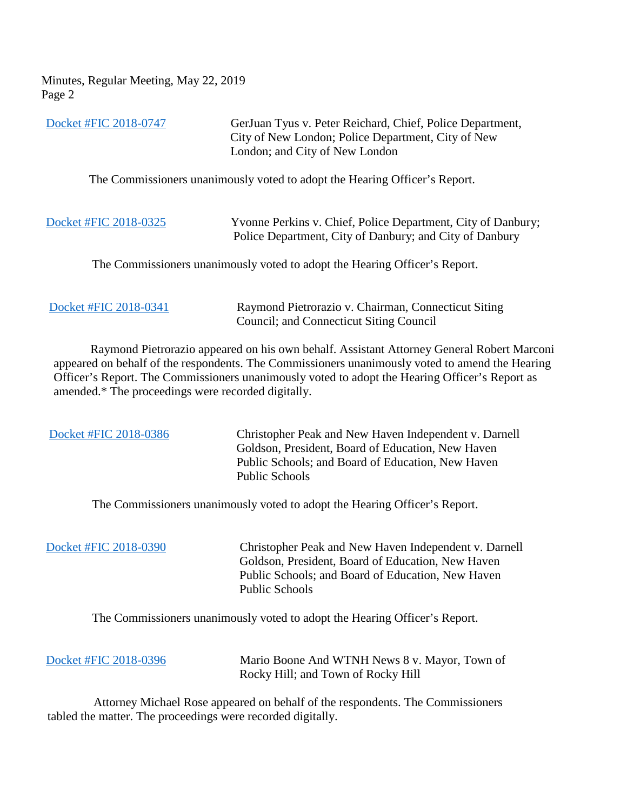Minutes, Regular Meeting, May 22, 2019 Page 2

| Docket #FIC 2018-0747 | GerJuan Tyus v. Peter Reichard, Chief, Police Department,<br>City of New London; Police Department, City of New         |
|-----------------------|-------------------------------------------------------------------------------------------------------------------------|
|                       | London; and City of New London                                                                                          |
|                       | The Commissioners unanimously voted to adopt the Hearing Officer's Report.                                              |
| Docket #FIC 2018-0325 | Yvonne Perkins v. Chief, Police Department, City of Danbury;<br>Police Department, City of Danbury; and City of Danbury |
|                       | The Commissioners unanimously voted to adopt the Hearing Officer's Report.                                              |

[Docket #FIC 2018-0341](https://www.ct.gov/foi/lib/foi/minutes/2019/may22/2018-0341.pdf) Raymond Pietrorazio v. Chairman, Connecticut Siting Council; and Connecticut Siting Council

 Raymond Pietrorazio appeared on his own behalf. Assistant Attorney General Robert Marconi appeared on behalf of the respondents. The Commissioners unanimously voted to amend the Hearing Officer's Report. The Commissioners unanimously voted to adopt the Hearing Officer's Report as amended.\* The proceedings were recorded digitally.

 [Docket #FIC 2018-0386](https://www.ct.gov/foi/lib/foi/minutes/2019/may22/2018-0386.pdf) Christopher Peak and New Haven Independent v. Darnell Goldson, President, Board of Education, New Haven Public Schools; and Board of Education, New Haven Public Schools

The Commissioners unanimously voted to adopt the Hearing Officer's Report.

 [Docket #FIC 2018-0390](https://www.ct.gov/foi/lib/foi/minutes/2019/may22/2018-0390.pdf) Christopher Peak and New Haven Independent v. Darnell Goldson, President, Board of Education, New Haven Public Schools; and Board of Education, New Haven Public Schools

The Commissioners unanimously voted to adopt the Hearing Officer's Report.

| Docket #FIC 2018-0396 | Mario Boone And WTNH News 8 v. Mayor, Town of |
|-----------------------|-----------------------------------------------|
|                       | Rocky Hill; and Town of Rocky Hill            |

 Attorney Michael Rose appeared on behalf of the respondents. The Commissioners tabled the matter. The proceedings were recorded digitally.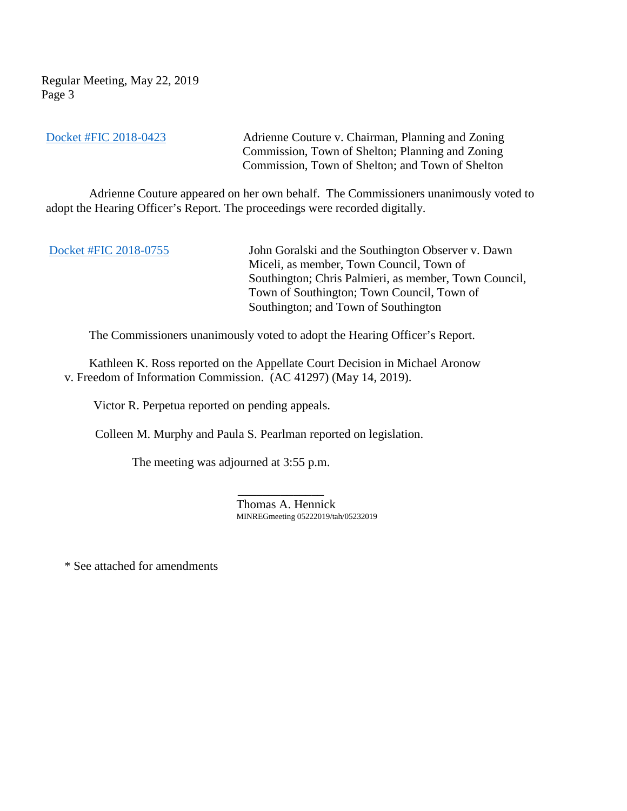Regular Meeting, May 22, 2019 Page 3

[Docket #FIC 2018-0423](https://www.ct.gov/foi/lib/foi/minutes/2019/may22/2018-0423.pdf) Adrienne Couture v. Chairman, Planning and Zoning Commission, Town of Shelton; Planning and Zoning Commission, Town of Shelton; and Town of Shelton

 Adrienne Couture appeared on her own behalf. The Commissioners unanimously voted to adopt the Hearing Officer's Report. The proceedings were recorded digitally.

[Docket #FIC 2018-0755](https://www.ct.gov/foi/lib/foi/minutes/2019/may22/2018-0755.pdf) John Goralski and the Southington Observer v. Dawn Miceli, as member, Town Council, Town of Southington; Chris Palmieri, as member, Town Council, Town of Southington; Town Council, Town of Southington; and Town of Southington

The Commissioners unanimously voted to adopt the Hearing Officer's Report.

 Kathleen K. Ross reported on the Appellate Court Decision in Michael Aronow v. Freedom of Information Commission. (AC 41297) (May 14, 2019).

Victor R. Perpetua reported on pending appeals.

Colleen M. Murphy and Paula S. Pearlman reported on legislation.

The meeting was adjourned at 3:55 p.m.

 $\mathcal{L}_\text{max}$  , which is a set of the set of the set of the set of the set of the set of the set of the set of the set of the set of the set of the set of the set of the set of the set of the set of the set of the set of Thomas A. Hennick MINREGmeeting 05222019/tah/05232019

\* See attached for amendments